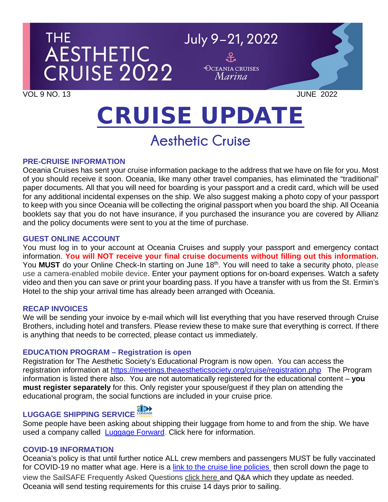

# CRUISE UPDATE

# **Aesthetic Cruise**

#### **PRE-CRUISE INFORMATION**

Oceania Cruises has sent your cruise information package to the address that we have on file for you. Most of you should receive it soon. Oceania, like many other travel companies, has eliminated the "traditional" paper documents. All that you will need for boarding is your passport and a credit card, which will be used for any additional incidental expenses on the ship. We also suggest making a photo copy of your passport to keep with you since Oceania will be collecting the original passport when you board the ship. All Oceania booklets say that you do not have insurance, if you purchased the insurance you are covered by Allianz and the policy documents were sent to you at the time of purchase.

#### **GUEST ONLINE ACCOUNT**

You must log in to your account at Oceania Cruises and supply your passport and emergency contact information. **You will NOT receive your final cruise documents without filling out this information.** You **MUST** do your Online Check-In starting on June 18<sup>th</sup>. You will need to take a security photo, please use a camera-enabled mobile device. Enter your payment options for on-board expenses. Watch a safety video and then you can save or print your boarding pass. If you have a transfer with us from the St. Ermin's Hotel to the ship your arrival time has already been arranged with Oceania.

#### **RECAP INVOICES**

We will be sending your invoice by e-mail which will list everything that you have reserved through Cruise Brothers, including hotel and transfers. Please review these to make sure that everything is correct. If there is anything that needs to be corrected, please contact us immediately.

#### **EDUCATION PROGRAM – Registration is open**

Registration for The Aesthetic Society's Educational Program is now open. You can access the registration information at<https://meetings.theaestheticsociety.org/cruise/registration.php> The Program information is listed there also. You are not automatically registered for the educational content – **you must register separately** for this. Only register your spouse/guest if they plan on attending the educational program, the social functions are included in your cruise price.

# **LUGGAGE SHIPPING SERVICE**

Some people have been asking about shipping their luggage from home to and from the ship. We have used a company called [Luggage Forward.](https://app.luggageforward.com/book/cruise-brothers/bob-n) Click here for information.

#### **COVID-19 INFORMATION**

Oceania's policy is that until further notice ALL crew members and passengers MUST be fully vaccinated for COVID-19 no matter what age. Here is a [link to the cruise line policies](https://www.oceaniacruises.com/health) then scroll down the page to view the SailSAFE Frequently Asked Questions click here and Q&A which they update as needed. Oceania will send testing requirements for this cruise 14 days prior to sailing.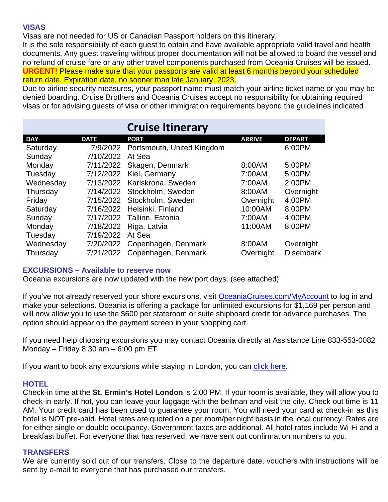#### **VISAS**

Visas are not needed for US or Canadian Passport holders on this itinerary.

It is the sole responsibility of each guest to obtain and have available appropriate valid travel and health documents. Any guest traveling without proper documentation will not be allowed to board the vessel and no refund of cruise fare or any other travel components purchased from Oceania Cruises will be issued. **URGENT!** Please make sure that your passports are valid at least 6 months beyond your scheduled return date. Expiration date, no sooner than late January, 2023.

Due to airline security measures, your passport name must match your airline ticket name or you may be denied boarding. Cruise Brothers and Oceania Cruises accept no responsibility for obtaining required visas or for advising guests of visa or other immigration requirements beyond the guidelines indicated

|            |             | <b>Cruise Itinerary</b>       |               |                  |
|------------|-------------|-------------------------------|---------------|------------------|
| <b>DAY</b> | <b>DATE</b> | <b>PORT</b>                   | <b>ARRIVE</b> | <b>DEPART</b>    |
| Saturday   | 7/9/2022    | Portsmouth, United Kingdom    |               | 6:00PM           |
| Sunday     | 7/10/2022   | At Sea                        |               |                  |
| Monday     | 7/11/2022   | Skagen, Denmark               | 8:00AM        | 5:00PM           |
| Tuesday    | 7/12/2022   | Kiel, Germany                 | 7:00AM        | 5:00PM           |
| Wednesday  | 7/13/2022   | Karlskrona, Sweden            | 7:00AM        | 2:00PM           |
| Thursday   |             | 7/14/2022 Stockholm, Sweden   | 8:00AM        | Overnight        |
| Friday     |             | 7/15/2022 Stockholm, Sweden   | Overnight     | 4:00PM           |
| Saturday   |             | 7/16/2022 Helsinki, Finland   | 10:00AM       | 8:00PM           |
| Sunday     |             | 7/17/2022 Tallinn, Estonia    | 7:00AM        | 4:00PM           |
| Monday     | 7/18/2022   | Riga, Latvia                  | 11:00AM       | 8:00PM           |
| Tuesday    | 7/19/2022   | At Sea                        |               |                  |
| Wednesday  |             | 7/20/2022 Copenhagen, Denmark | 8:00AM        | Overnight        |
| Thursday   |             | 7/21/2022 Copenhagen, Denmark | Overnight     | <b>Disembark</b> |

#### **EXCURSIONS – Available to reserve now**

Oceania excursions are now updated with the new port days. (see attached)

If you've not already reserved your shore excursions, visit [OceaniaCruises.com/MyAccount](https://www.oceaniacruises.com/login/) to log in and make your selections. Oceania is offering a package for unlimited excursions for \$1,169 per person and will now allow you to use the \$600 per stateroom or suite shipboard credit for advance purchases. The option should appear on the payment screen in your shopping cart.

If you need help choosing excursions you may contact Oceania directly at Assistance Line 833-553-0082 Monday – Friday 8:30 am – 6:00 pm ET

If you want to book any excursions while staying in London, you can [click here.](https://www.viator.com/London/d737-ttd?pid=P00006171&uid=U00068092&mcid=58086)

#### **HOTEL**

Check-in time at the **St. Ermin's Hotel London** is 2:00 PM. If your room is available, they will allow you to check-in early. If not, you can leave your luggage with the bellman and visit the city. Check-out time is 11 AM. Your credit card has been used to guarantee your room. You will need your card at check-in as this hotel is NOT pre-paid. Hotel rates are quoted on a per room/per night basis in the local currency. Rates are for either single or double occupancy. Government taxes are additional. All hotel rates include Wi-Fi and a breakfast buffet. For everyone that has reserved, we have sent out confirmation numbers to you.

#### **TRANSFERS**

We are currently sold out of our transfers. Close to the departure date, vouchers with instructions will be sent by e-mail to everyone that has purchased our transfers.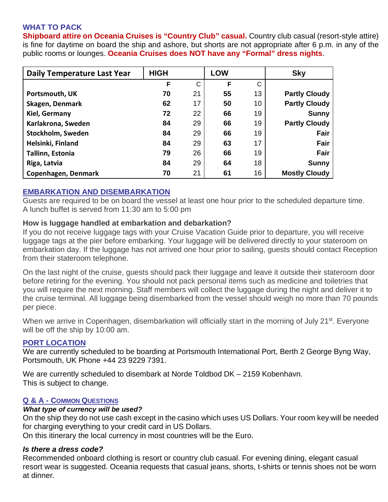## **WHAT TO PACK**

**Shipboard attire on Oceania Cruises is "Country Club" casual.** Country club casual (resort-style attire) is fine for daytime on board the ship and ashore, but shorts are not appropriate after 6 p.m. in any of the public rooms or lounges. **Oceania Cruises does NOT have any "Formal" dress nights**.

| Daily Temperature Last Year | <b>HIGH</b> |    | <b>LOW</b> |    | <b>Sky</b>           |
|-----------------------------|-------------|----|------------|----|----------------------|
|                             | F           | C  | F          | C  |                      |
| Portsmouth, UK              | 70          | 21 | 55         | 13 | <b>Partly Cloudy</b> |
| Skagen, Denmark             | 62          | 17 | 50         | 10 | <b>Partly Cloudy</b> |
| Kiel, Germany               | 72          | 22 | 66         | 19 | <b>Sunny</b>         |
| Karlakrona, Sweden          | 84          | 29 | 66         | 19 | <b>Partly Cloudy</b> |
| Stockholm, Sweden           | 84          | 29 | 66         | 19 | Fair                 |
| Helsinki, Finland           | 84          | 29 | 63         | 17 | Fair                 |
| Tallinn, Estonia            | 79          | 26 | 66         | 19 | Fair                 |
| Riga, Latvia                | 84          | 29 | 64         | 18 | <b>Sunny</b>         |
| Copenhagen, Denmark         | 70          | 21 | 61         | 16 | <b>Mostly Cloudy</b> |

#### **EMBARKATION AND DISEMBARKATION**

Guests are required to be on board the vessel at least one hour prior to the scheduled departure time. A lunch buffet is served from 11:30 am to 5:00 pm

#### **How is luggage handled at embarkation and debarkation?**

If you do not receive luggage tags with your Cruise Vacation Guide prior to departure, you will receive luggage tags at the pier before embarking. Your luggage will be delivered directly to your stateroom on embarkation day. If the luggage has not arrived one hour prior to sailing, guests should contact Reception from their stateroom telephone.

On the last night of the cruise, guests should pack their luggage and leave it outside their stateroom door before retiring for the evening. You should not pack personal items such as medicine and toiletries that you will require the next morning. Staff members will collect the luggage during the night and deliver it to the cruise terminal. All luggage being disembarked from the vessel should weigh no more than 70 pounds per piece.

When we arrive in Copenhagen, disembarkation will officially start in the morning of July 21<sup>st</sup>. Everyone will be off the ship by 10:00 am.

#### **PORT LOCATION**

We are currently scheduled to be boarding at Portsmouth International Port, Berth 2 George Byng Way, Portsmouth, UK Phone +44 23 9229 7391.

We are currently scheduled to disembark at Norde Toldbod DK – 2159 Kobenhavn. This is subject to change.

#### **Q & A - COMMON QUESTIONS**

#### *What type of currency will be used?*

On the ship they do not use cash except in the casino which uses US Dollars. Your room key will be needed for charging everything to your credit card in US Dollars.

On this itinerary the local currency in most countries will be the Euro.

#### *Is there a dress code?*

Recommended onboard clothing is resort or country club casual. For evening dining, elegant casual resort wear is suggested. Oceania requests that casual jeans, shorts, t-shirts or tennis shoes not be worn at dinner.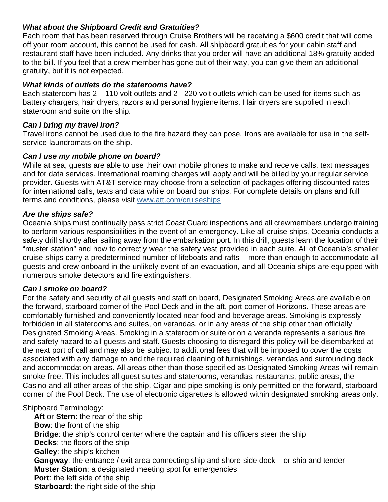### *What about the Shipboard Credit and Gratuities?*

Each room that has been reserved through Cruise Brothers will be receiving a \$600 credit that will come off your room account, this cannot be used for cash. All shipboard gratuities for your cabin staff and restaurant staff have been included. Any drinks that you order will have an additional 18% gratuity added to the bill. If you feel that a crew member has gone out of their way, you can give them an additional gratuity, but it is not expected.

#### *What kinds of outlets do the staterooms have?*

Each stateroom has 2 – 110 volt outlets and 2 - 220 volt outlets which can be used for items such as battery chargers, hair dryers, razors and personal hygiene items. Hair dryers are supplied in each stateroom and suite on the ship.

#### *Can I bring my travel iron?*

Travel irons cannot be used due to the fire hazard they can pose. Irons are available for use in the selfservice laundromats on the ship.

#### *Can I use my mobile phone on board?*

While at sea, guests are able to use their own mobile phones to make and receive calls, text messages and for data services. International roaming charges will apply and will be billed by your regular service provider. Guests with AT&T service may choose from a selection of packages offering discounted rates for international calls, texts and data while on board our ships. For complete details on plans and full terms and conditions, please visit [www.att.com/cruiseships](http://www.att.com/cruiseships)

#### *Are the ships safe?*

Oceania ships must continually pass strict Coast Guard inspections and all crewmembers undergo training to perform various responsibilities in the event of an emergency. Like all cruise ships, Oceania conducts a safety drill shortly after sailing away from the embarkation port. In this drill, guests learn the location of their "muster station" and how to correctly wear the safety vest provided in each suite. All of Oceania's smaller cruise ships carry a predetermined number of lifeboats and rafts – more than enough to accommodate all guests and crew onboard in the unlikely event of an evacuation, and all Oceania ships are equipped with numerous smoke detectors and fire extinguishers.

#### *Can I smoke on board?*

For the safety and security of all guests and staff on board, Designated Smoking Areas are available on the forward, starboard corner of the Pool Deck and in the aft, port corner of Horizons. These areas are comfortably furnished and conveniently located near food and beverage areas. Smoking is expressly forbidden in all staterooms and suites, on verandas, or in any areas of the ship other than officially Designated Smoking Areas. Smoking in a stateroom or suite or on a veranda represents a serious fire and safety hazard to all guests and staff. Guests choosing to disregard this policy will be disembarked at the next port of call and may also be subject to additional fees that will be imposed to cover the costs associated with any damage to and the required cleaning of furnishings, verandas and surrounding deck and accommodation areas. All areas other than those specified as Designated Smoking Areas will remain smoke-free. This includes all guest suites and staterooms, verandas, restaurants, public areas, the Casino and all other areas of the ship. Cigar and pipe smoking is only permitted on the forward, starboard corner of the Pool Deck. The use of electronic cigarettes is allowed within designated smoking areas only.

#### Shipboard Terminology:

**Aft** or **Stern**: the rear of the ship **Bow**: the front of the ship **Bridge**: the ship's control center where the captain and his officers steer the ship **Decks**: the floors of the ship **Galley**: the ship's kitchen **Gangway**: the entrance / exit area connecting ship and shore side dock – or ship and tender **Muster Station**: a designated meeting spot for emergencies **Port**: the left side of the ship **Starboard**: the right side of the ship